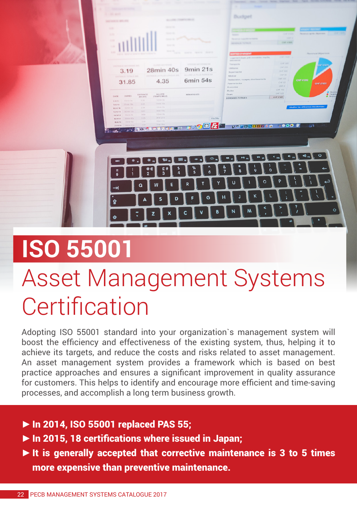

## **ISO 55001**

## Asset Management Systems **Certification**

Adopting ISO 55001 standard into your organization`s management system will boost the efficiency and effectiveness of the existing system, thus, helping it to achieve its targets, and reduce the costs and risks related to asset management. An asset management system provides a framework which is based on best practice approaches and ensures a significant improvement in quality assurance for customers. This helps to identify and encourage more efficient and time-saving processes, and accomplish a long term business growth.

- **►**In 2014, ISO 55001 replaced PAS 55;
- **►**In 2015, 18 certifications where issued in Japan;
- **►**It is generally accepted that corrective maintenance is 3 to 5 times more expensive than preventive maintenance.